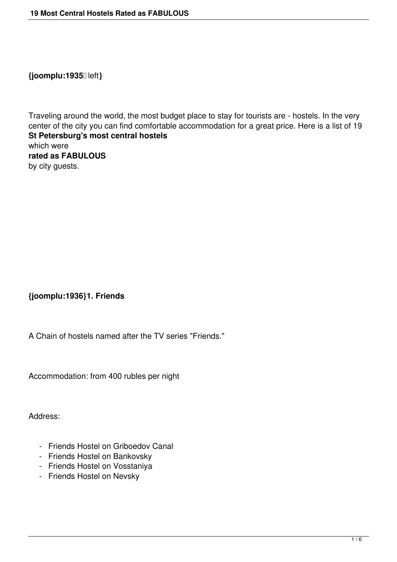**{joomplu:1935** left**}**

Traveling around the world, the most budget place to stay for tourists are - hostels. In the very center of the city you can find comfortable accommodation for a great price. Here is a list of 19 **St Petersburg's most central hostels**  which were **rated as FABULOUS** by city guests.

## **{joomplu:1936}1. Friends**

A Chain of hostels named after the TV series "Friends."

Accommodation: from 400 rubles per night

Address:

- Friends Hostel on Griboedov Canal
- Friends Hostel on Bankovsky
- Friends Hostel on Vosstaniya
- Friends Hostel on Nevsky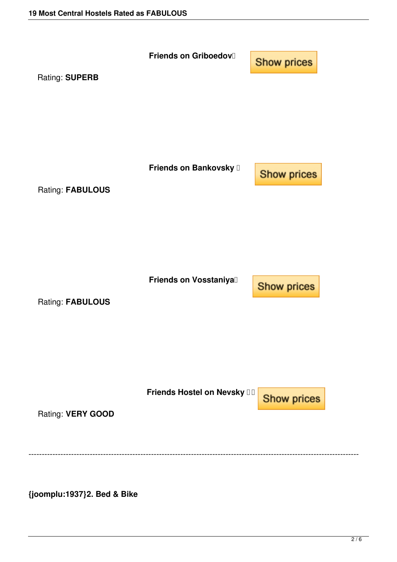

**{joomplu:1937}2. Bed & Bike**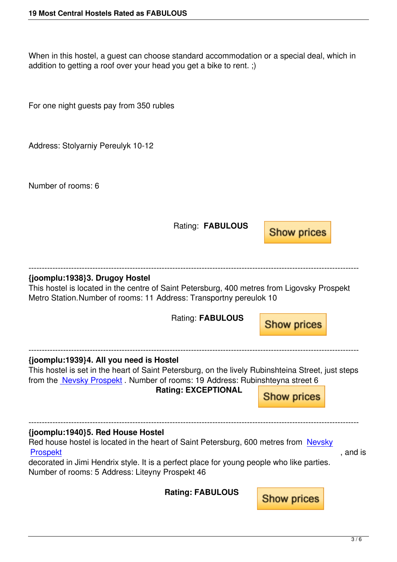When in this hostel, a guest can choose standard accommodation or a special deal, which in addition to getting a roof over your head you get a bike to rent. ;)

For one night guests pay from 350 rubles

Address: Stolyarniy Pereulyk 10-12

Number of rooms: 6

 Rating: **FABULOUS Show prices** ---------------------------------------------------------------------------------------------------------------------------- **{joomplu:1938}3. Drugoy Hostel** This hostel is located in the centre of Saint Petersburg, 400 metres from Ligovsky Prospekt Metro Station.Number of rooms: 11 Address: Transportny pereulok 10 Rating: **FABULOUS Show prices** ---------------------------------------------------------------------------------------------------------------------------- **{joomplu:1939}4. All you need is Hostel** This hostel is set in the heart of Saint Petersburg, on the lively Rubinshteina Street, just steps from the Nevsky Prospekt . Number of rooms: 19 Address: Rubinshteyna street 6 **Rating: EXCEPTIONAL Show prices** ---------------------------------------------------------------------------------------------------------------------------- **{joomplu:1940}5. Red House Hostel** Red house hostel is located in the heart of Saint Petersburg, 600 metres from Nevsky Prospekt , and is a set of the set of the set of the set of the set of the set of the set of the set of the set of the set of the set of the set of the set of the set of the set of the set of the set of the set of the set decorated in Jimi Hendrix style. It is a perfect place for young people who like parties. Number of rooms: 5 Address: Liteyny Prospekt 46  **Rating: FABULOUS Show prices**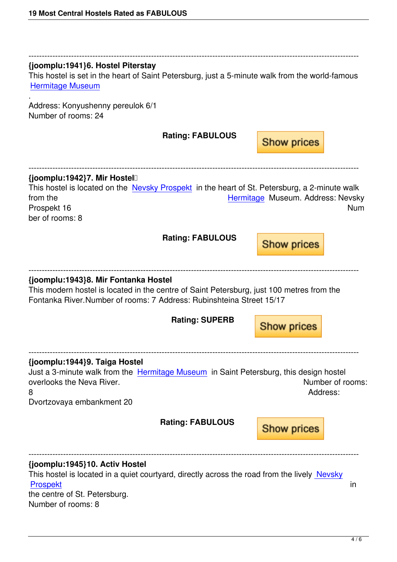## ---------------------------------------------------------------------------------------------------------------------------- **{joomplu:1941}6. Hostel Piterstay**

This hostel is set in the heart of Saint Petersburg, just a 5-minute walk from the world-famous Hermitage Museum

Address: Konyushenny pereulok 6/1 [Number of rooms: 24](st-petersburg-attractions/30-hermitage.html)

.

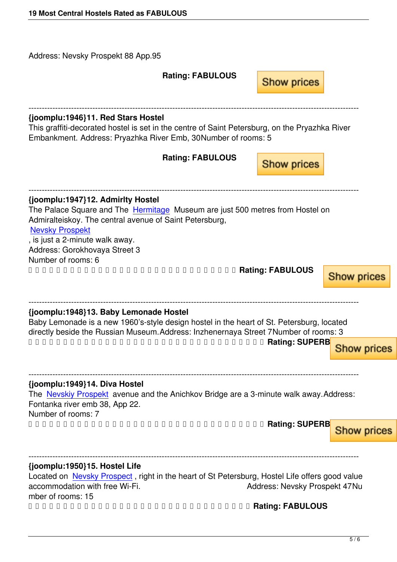## **Rating: FABULOUS**

**Show prices**